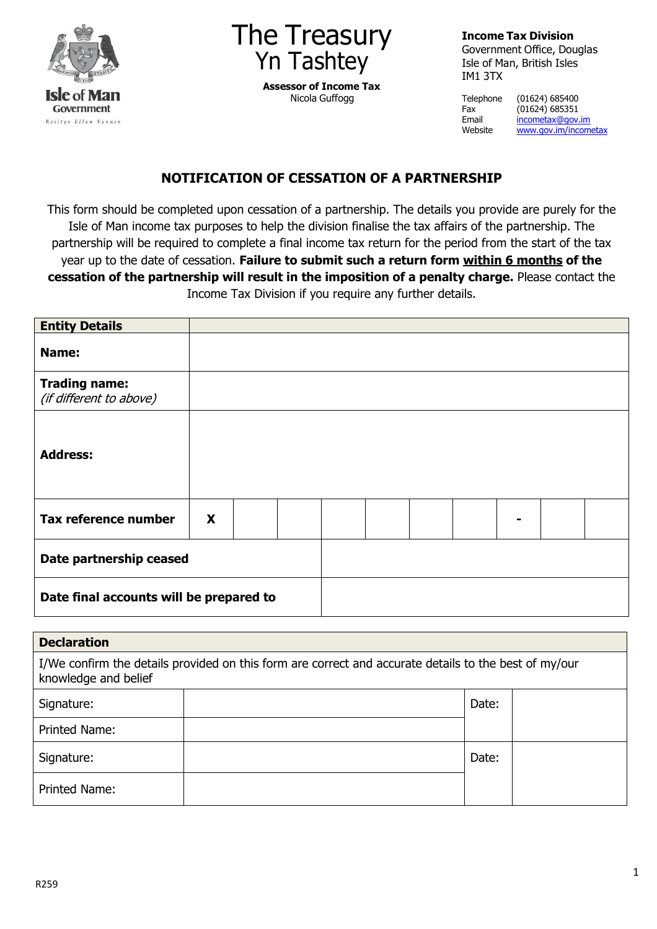



**Assessor of Income Tax** Nicola Guffogg

**Income Tax Division**

Government Office, Douglas Isle of Man, British Isles IM1 3TX

Telephone (01624) 685400<br>Fax (01624) 685351  $(01624) 685351$ Email <u>[incometax@gov.im](mailto:incometax@gov.im)</u><br>Website www.gov.im/incom [www.gov.im/incometax](http://www.gov.im/incometax)

## **NOTIFICATION OF CESSATION OF A PARTNERSHIP**

This form should be completed upon cessation of a partnership. The details you provide are purely for the Isle of Man income tax purposes to help the division finalise the tax affairs of the partnership. The partnership will be required to complete a final income tax return for the period from the start of the tax year up to the date of cessation. **Failure to submit such a return form within 6 months of the cessation of the partnership will result in the imposition of a penalty charge.** Please contact the Income Tax Division if you require any further details.

| <b>Entity Details</b>                           |   |  |  |  |  |  |
|-------------------------------------------------|---|--|--|--|--|--|
| Name:                                           |   |  |  |  |  |  |
| <b>Trading name:</b><br>(if different to above) |   |  |  |  |  |  |
| <b>Address:</b>                                 |   |  |  |  |  |  |
| Tax reference number                            | X |  |  |  |  |  |
| Date partnership ceased                         |   |  |  |  |  |  |
| Date final accounts will be prepared to         |   |  |  |  |  |  |

| <b>Declaration</b>                                                                                                            |  |       |  |  |  |  |  |  |
|-------------------------------------------------------------------------------------------------------------------------------|--|-------|--|--|--|--|--|--|
| I/We confirm the details provided on this form are correct and accurate details to the best of my/our<br>knowledge and belief |  |       |  |  |  |  |  |  |
| Signature:                                                                                                                    |  | Date: |  |  |  |  |  |  |
| <b>Printed Name:</b>                                                                                                          |  |       |  |  |  |  |  |  |
| Signature:                                                                                                                    |  | Date: |  |  |  |  |  |  |
| <b>Printed Name:</b>                                                                                                          |  |       |  |  |  |  |  |  |